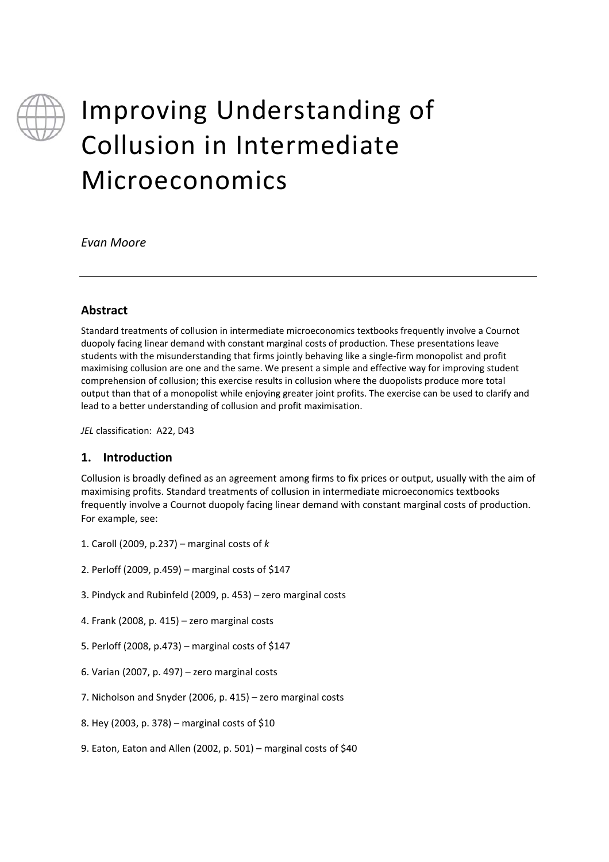

# Improving Understanding of Collusion in Intermediate Microeconomics

*Evan Moore* 

#### **Abstract**

Standard treatments of collusion in intermediate microeconomics textbooks frequently involve a Cournot duopoly facing linear demand with constant marginal costs of production. These presentations leave students with the misunderstanding that firms jointly behaving like a single‐firm monopolist and profit maximising collusion are one and the same. We present a simple and effective way for improving student comprehension of collusion; this exercise results in collusion where the duopolists produce more total output than that of a monopolist while enjoying greater joint profits. The exercise can be used to clarify and lead to a better understanding of collusion and profit maximisation.

*JEL* classification: A22, D43

#### **1. Introduction**

Collusion is broadly defined as an agreement among firms to fix prices or output, usually with the aim of maximising profits. Standard treatments of collusion in intermediate microeconomics textbooks frequently involve a Cournot duopoly facing linear demand with constant marginal costs of production. For example, see:

- 1. Caroll (2009, p.237) marginal costs of *k*
- 2. Perloff (2009, p.459) marginal costs of \$147
- 3. Pindyck and Rubinfeld (2009, p. 453) zero marginal costs
- 4. Frank (2008, p. 415) zero marginal costs
- 5. Perloff (2008, p.473) marginal costs of \$147
- 6. Varian (2007, p. 497) zero marginal costs
- 7. Nicholson and Snyder (2006, p. 415) zero marginal costs
- 8. Hey (2003, p. 378) marginal costs of \$10
- 9. Eaton, Eaton and Allen (2002, p. 501) marginal costs of \$40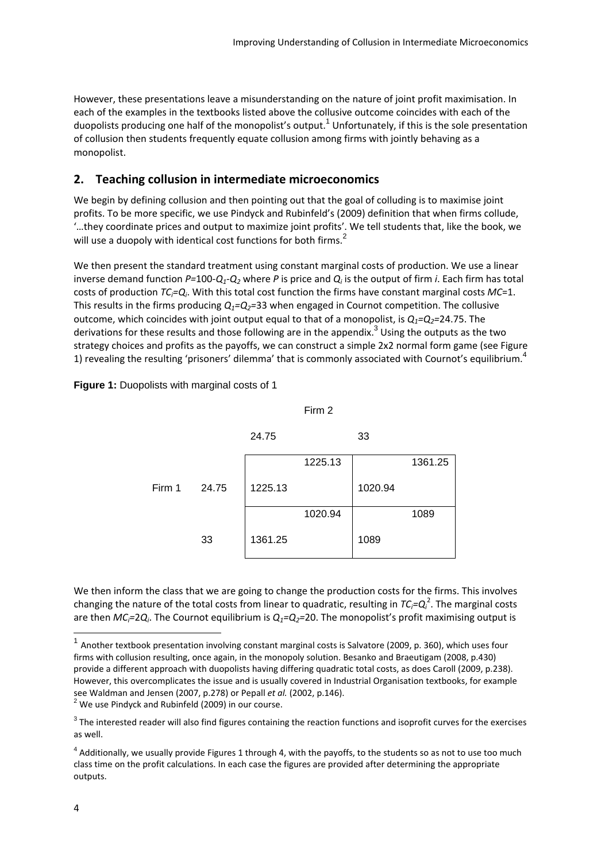However, these presentations leave a misunderstanding on the nature of joint profit maximisation. In each of the examples in the textbooks listed above the collusive outcome coincides with each of the duopolists producing one half of the monopolist's output.<sup>1</sup> Unfortunately, if this is the sole presentation of collusion then students frequently equate collusion among firms with jointly behaving as a monopolist.

### **2. Teaching collusion in intermediate microeconomics**

We begin by defining collusion and then pointing out that the goal of colluding is to maximise joint profits. To be more specific, we use Pindyck and Rubinfeld's (2009) definition that when firms collude, '…they coordinate prices and output to maximize joint profits'. We tell students that, like the book, we will use a duopoly with identical cost functions for both firms.<sup>2</sup>

We then present the standard treatment using constant marginal costs of production. We use a linear inverse demand function  $P=100$ - $Q_1$ - $Q_2$  where P is price and  $Q_i$  is the output of firm *i*. Each firm has total costs of production *TCi=Qi*. With this total cost function the firms have constant marginal costs *MC*=1. This results in the firms producing  $Q_1 = Q_2 = 33$  when engaged in Cournot competition. The collusive outcome, which coincides with joint output equal to that of a monopolist, is  $Q_1 = Q_2 = 24.75$ . The derivations for these results and those following are in the appendix.<sup>3</sup> Using the outputs as the two strategy choices and profits as the payoffs, we can construct a simple 2x2 normal form game (see Figure 1) revealing the resulting 'prisoners' dilemma' that is commonly associated with Cournot's equilibrium.<sup>4</sup>

**Figure 1:** Duopolists with marginal costs of 1



We then inform the class that we are going to change the production costs for the firms. This involves changing the nature of the total costs from linear to quadratic, resulting in  $TC_i=Q_i^2$ . The marginal costs are then  $MC_i=2Q_i$ . The Cournot equilibrium is  $Q_i=Q_2=20$ . The monopolist's profit maximising output is

 $\overline{a}$ 

 $1$  Another textbook presentation involving constant marginal costs is Salvatore (2009, p. 360), which uses four firms with collusion resulting, once again, in the monopoly solution. Besanko and Braeutigam (2008, p.430) provide a different approach with duopolists having differing quadratic total costs, as does Caroll (2009, p.238). However, this overcomplicates the issue and is usually covered in Industrial Organisation textbooks, for example see Waldman and Jensen (2007, p.278) or Pepall *et al.* (2002, p.146).<br><sup>2</sup> We use Pindyck and Rubinfeld (2009) in our course.

 $3$  The interested reader will also find figures containing the reaction functions and isoprofit curves for the exercises as well.

 $4$  Additionally, we usually provide Figures 1 through 4, with the payoffs, to the students so as not to use too much class time on the profit calculations. In each case the figures are provided after determining the appropriate outputs.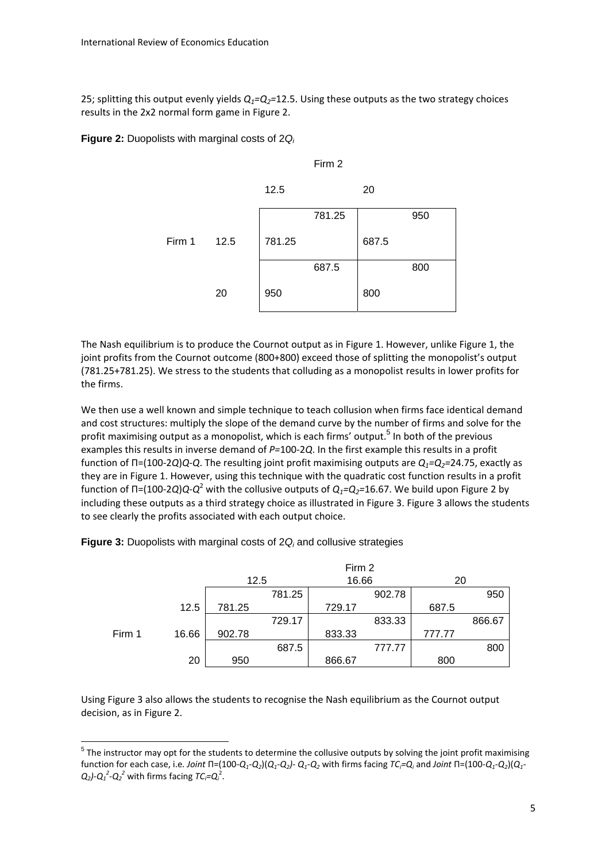25; splitting this output evenly yields *Q1=Q2=*12.5. Using these outputs as the two strategy choices results in the 2x2 normal form game in Figure 2.

**Figure 2:** Duopolists with marginal costs of 2*Qi*



The Nash equilibrium is to produce the Cournot output as in Figure 1. However, unlike Figure 1, the joint profits from the Cournot outcome (800+800) exceed those of splitting the monopolist's output (781.25+781.25). We stress to the students that colluding as a monopolist results in lower profits for the firms.

We then use a well known and simple technique to teach collusion when firms face identical demand and cost structures: multiply the slope of the demand curve by the number of firms and solve for the profit maximising output as a monopolist, which is each firms' output.<sup>5</sup> In both of the previous examples this results in inverse demand of *P=*100*‐*2*Q*. In the first example this results in a profit function of Π=(100*‐*2*Q*)*Q*‐*Q*. The resulting joint profit maximising outputs are *Q1=Q2=*24.75, exactly as they are in Figure 1. However, using this technique with the quadratic cost function results in a profit function of Π=(100*‐*2*Q*)*Q*‐*Q*<sup>2</sup> with the collusive outputs of *Q1=Q2=*16.67. We build upon Figure 2 by including these outputs as a third strategy choice as illustrated in Figure 3. Figure 3 allows the students to see clearly the profits associated with each output choice.

|        |       |        |        | Firm 2 |        |        |        |
|--------|-------|--------|--------|--------|--------|--------|--------|
|        |       | 12.5   |        | 16.66  |        | 20     |        |
|        |       |        | 781.25 |        | 902.78 |        | 950    |
|        | 12.5  | 781.25 |        | 729.17 |        | 687.5  |        |
|        |       |        | 729.17 |        | 833.33 |        | 866.67 |
| Firm 1 | 16.66 | 902.78 |        | 833.33 |        | 777.77 |        |
|        |       |        | 687.5  |        | 777.77 |        | 800    |
|        | 20    | 950    |        | 866.67 |        | 800    |        |

**Figure 3:** Duopolists with marginal costs of 2 $Q_i$  and collusive strategies

Using Figure 3 also allows the students to recognise the Nash equilibrium as the Cournot output decision, as in Figure 2.

 $5$  The instructor may opt for the students to determine the collusive outputs by solving the joint profit maximising function for each case, i.e. *Joint*  $\Pi$ *=* $(100\hbox{-} Q_1\hbox{-} Q_2) (Q_1\hbox{-} Q_2)$ -  $Q_1\hbox{-} Q_2$  with firms facing  $7C_i\hbox{=} Q_i$  and *Joint*  $\Pi$ *=* $(100\hbox{-} Q_1\hbox{-} Q_2) (Q_1\hbox{-} Q_2)$  $Q_2$ ) $\cdot$  $Q_1^2$  $\cdot$  $Q_2^2$  with firms facing  $TC_i$ = $Q_i^2$ .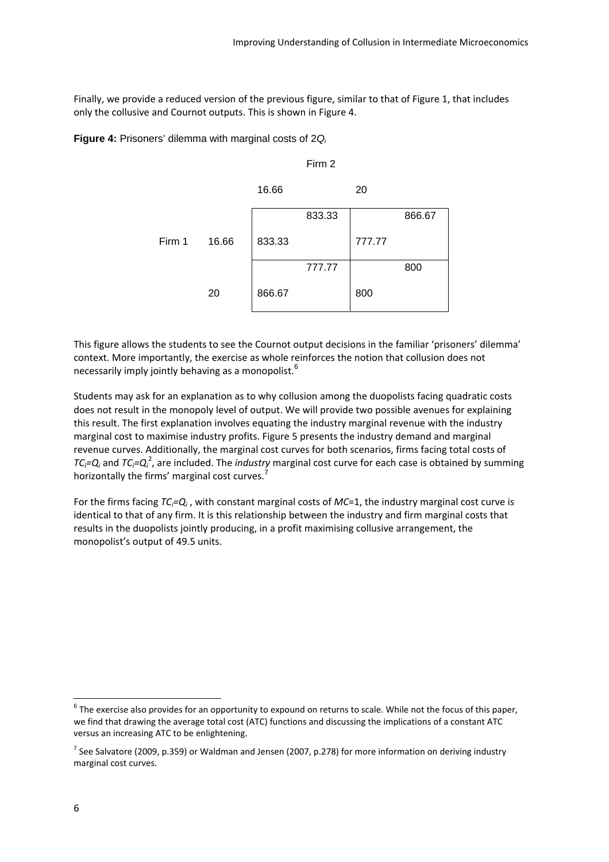Finally, we provide a reduced version of the previous figure, similar to that of Figure 1, that includes only the collusive and Cournot outputs. This is shown in Figure 4.

**Figure 4:** Prisoners' dilemma with marginal costs of 2*Qi*

|        |       | 16.66  |        | 20     |        |
|--------|-------|--------|--------|--------|--------|
|        |       |        | 833.33 |        | 866.67 |
| Firm 1 | 16.66 | 833.33 |        | 777.77 |        |
|        |       |        | 777.77 |        | 800    |
|        | 20    | 866.67 |        | 800    |        |

Firm 2

This figure allows the students to see the Cournot output decisions in the familiar 'prisoners' dilemma' context. More importantly, the exercise as whole reinforces the notion that collusion does not necessarily imply jointly behaving as a monopolist.<sup>6</sup>

Students may ask for an explanation as to why collusion among the duopolists facing quadratic costs does not result in the monopoly level of output. We will provide two possible avenues for explaining this result. The first explanation involves equating the industry marginal revenue with the industry marginal cost to maximise industry profits. Figure 5 presents the industry demand and marginal revenue curves. Additionally, the marginal cost curves for both scenarios, firms facing total costs of *TC<sub>i</sub>=Q<sub>i</sub>* and *TC<sub>i</sub>=Q<sub>i</sub><sup>2</sup>, are included. The <i>industry* marginal cost curve for each case is obtained by summing horizontally the firms' marginal cost curves.<sup>7</sup>

For the firms facing *TCi=Qi* , with constant marginal costs of *MC*=1, the industry marginal cost curve is identical to that of any firm. It is this relationship between the industry and firm marginal costs that results in the duopolists jointly producing, in a profit maximising collusive arrangement, the monopolist's output of 49.5 units.

 $6$  The exercise also provides for an opportunity to expound on returns to scale. While not the focus of this paper, we find that drawing the average total cost (ATC) functions and discussing the implications of a constant ATC versus an increasing ATC to be enlightening.

 $7$  See Salvatore (2009, p.359) or Waldman and Jensen (2007, p.278) for more information on deriving industry marginal cost curves.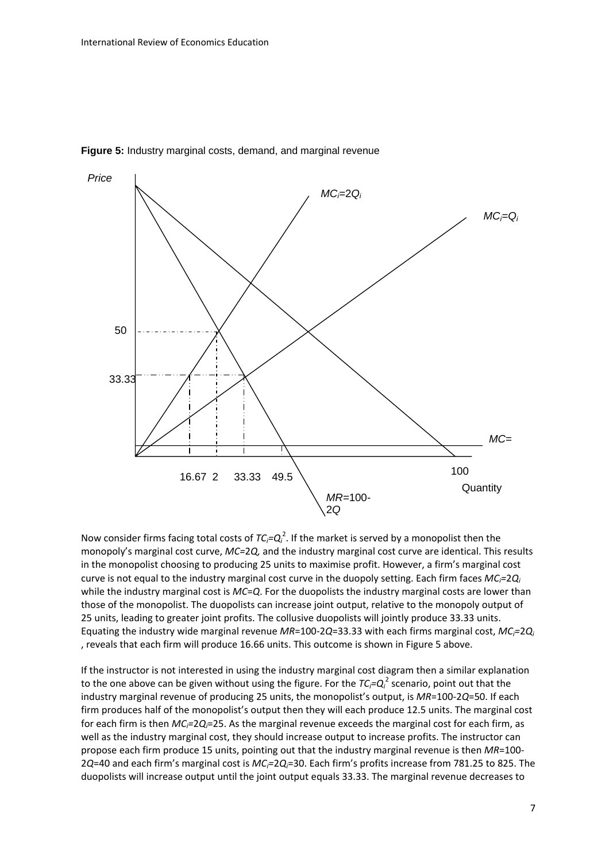

**Figure 5:** Industry marginal costs, demand, and marginal revenue

Now consider firms facing total costs of  $TC_i = Q_i^2$ . If the market is served by a monopolist then the monopoly's marginal cost curve, *MC=*2*Q,* and the industry marginal cost curve are identical. This results in the monopolist choosing to producing 25 units to maximise profit. However, a firm's marginal cost curve is not equal to the industry marginal cost curve in the duopoly setting. Each firm faces *MCi=*2*Qi* while the industry marginal cost is *MC*=*Q*. For the duopolists the industry marginal costs are lower than those of the monopolist. The duopolists can increase joint output, relative to the monopoly output of 25 units, leading to greater joint profits. The collusive duopolists will jointly produce 33.33 units. Equating the industry wide marginal revenue *MR*=100‐2*Q*=33.33 with each firms marginal cost, *MCi=*2*Qi* , reveals that each firm will produce 16.66 units. This outcome is shown in Figure 5 above.

If the instructor is not interested in using the industry marginal cost diagram then a similar explanation to the one above can be given without using the figure. For the  $TC_i$ = $Q_i^2$  scenario, point out that the industry marginal revenue of producing 25 units, the monopolist's output, is *MR*=100‐2*Q*=50. If each firm produces half of the monopolist's output then they will each produce 12.5 units. The marginal cost for each firm is then *MCi=*2*Qi*=25. As the marginal revenue exceeds the marginal cost for each firm, as well as the industry marginal cost, they should increase output to increase profits. The instructor can propose each firm produce 15 units, pointing out that the industry marginal revenue is then *MR*=100‐ 2*Q*=40 and each firm's marginal cost is *MCi=*2*Qi*=30. Each firm's profits increase from 781.25 to 825. The duopolists will increase output until the joint output equals 33.33. The marginal revenue decreases to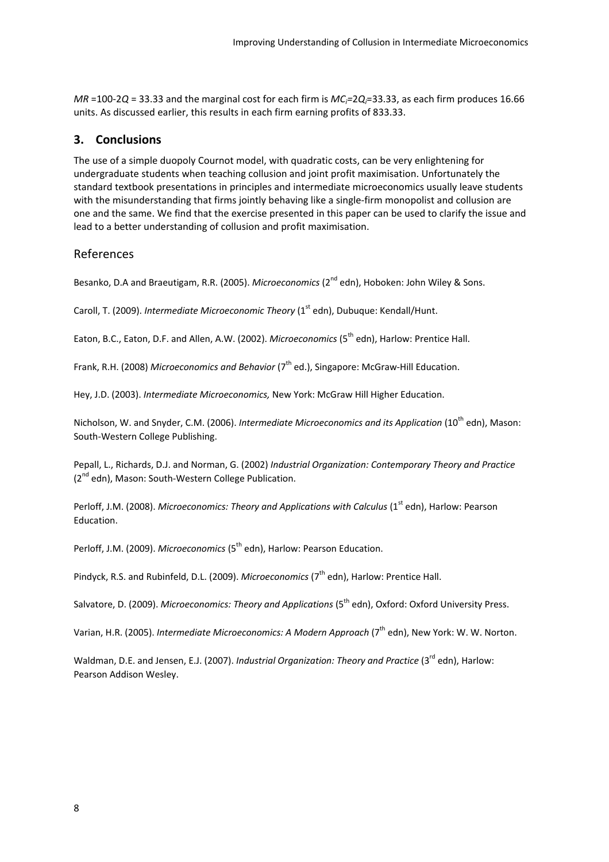*MR* =100‐2*Q* = 33.33 and the marginal cost for each firm is *MCi=*2*Qi*=33.33, as each firm produces 16.66 units. As discussed earlier, this results in each firm earning profits of 833.33.

#### **3. Conclusions**

The use of a simple duopoly Cournot model, with quadratic costs, can be very enlightening for undergraduate students when teaching collusion and joint profit maximisation. Unfortunately the standard textbook presentations in principles and intermediate microeconomics usually leave students with the misunderstanding that firms jointly behaving like a single-firm monopolist and collusion are one and the same. We find that the exercise presented in this paper can be used to clarify the issue and lead to a better understanding of collusion and profit maximisation.

#### References

Besanko, D.A and Braeutigam, R.R. (2005). *Microeconomics* (2nd edn), Hoboken: John Wiley & Sons.

Caroll, T. (2009). *Intermediate Microeconomic Theory* (1<sup>st</sup> edn), Dubuque: Kendall/Hunt.

Eaton, B.C., Eaton, D.F. and Allen, A.W. (2002). *Microeconomics* (5<sup>th</sup> edn), Harlow: Prentice Hall.

Frank, R.H. (2008) *Microeconomics and Behavior* ( $7<sup>th</sup>$  ed.), Singapore: McGraw-Hill Education.

Hey, J.D. (2003). *Intermediate Microeconomics,* New York: McGraw Hill Higher Education.

Nicholson, W. and Snyder, C.M. (2006). *Intermediate Microeconomics and its Application* (10th edn), Mason: South‐Western College Publishing.

Pepall, L., Richards, D.J. and Norman, G. (2002) *Industrial Organization: Contemporary Theory and Practice* (2<sup>nd</sup> edn), Mason: South-Western College Publication.

Perloff, J.M. (2008). *Microeconomics: Theory and Applications with Calculus* (1st edn), Harlow: Pearson Education.

Perloff, J.M. (2009). *Microeconomics* (5<sup>th</sup> edn), Harlow: Pearson Education.

Pindyck, R.S. and Rubinfeld, D.L. (2009). *Microeconomics* (7<sup>th</sup> edn), Harlow: Prentice Hall.

Salvatore, D. (2009). *Microeconomics: Theory and Applications* (5th edn), Oxford: Oxford University Press.

Varian, H.R. (2005). *Intermediate Microeconomics: A Modern Approach* (7th edn), New York: W. W. Norton.

Waldman, D.E. and Jensen, E.J. (2007). *Industrial Organization: Theory and Practice* (3rd edn), Harlow: Pearson Addison Wesley.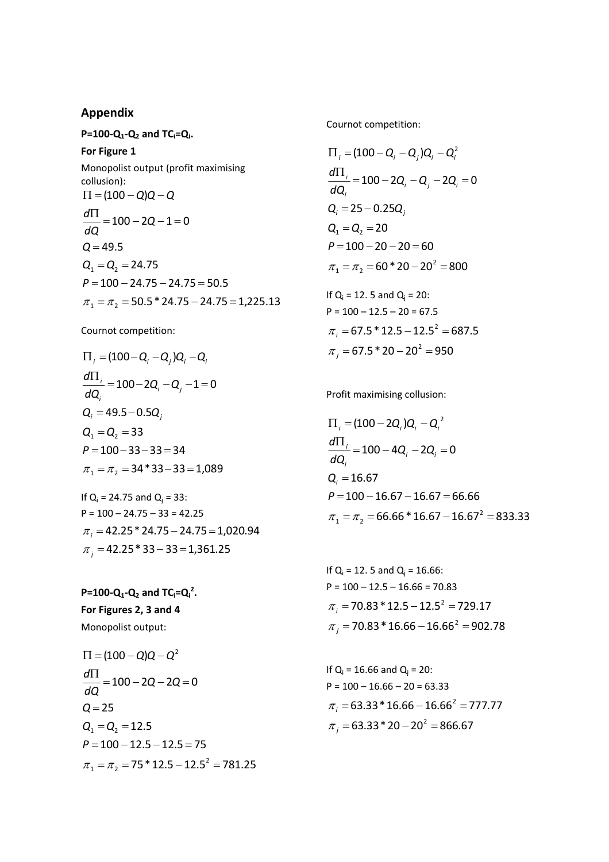#### **Appendix**

**P=100‐Q1‐Q2 and TCi=Qi. For Figure 1** Monopolist output (profit maximising collusion):  $P = 100 - 24.75 - 24.75 = 50.5$  $Q_1 = Q_2 = 24.75$  $Q = 49.5$  $\frac{\Pi}{\sqrt{2}} = 100 - 2Q - 1 = 0$  $\Pi = (100 - Q)Q - Q$ *dQ d*

 $\pi_1 = \pi_2 = 50.5 * 24.75 - 24.75 = 1,225.13$ 

Cournot competition:

$$
\Pi_{i} = (100 - Q_{i} - Q_{j})Q_{i} - Q_{i}
$$
\n
$$
\frac{d\Pi_{i}}{dQ_{i}} = 100 - 2Q_{i} - Q_{j} - 1 = 0
$$
\n
$$
Q_{i} = 49.5 - 0.5Q_{j}
$$
\n
$$
Q_{1} = Q_{2} = 33
$$
\n
$$
P = 100 - 33 - 33 = 34
$$
\n
$$
\pi_{1} = \pi_{2} = 34 * 33 - 33 = 1,089
$$
\nIf Q\_{i} = 24.75 and Q\_{j} = 33:\n
$$
P = 100 - 24.75 - 33 = 42.25
$$

 $\pi$ <sub>j</sub> = 42.25 \* 33 – 33 = 1,361.25  $\pi$ <sub>i</sub> = 42.25 \* 24.75 – 24.75 = 1,020.94

 $P=100$ **·Q**<sub>1</sub>**-Q**<sub>2</sub> and  $TC_i=Q_i^2$ . **For Figures 2, 3 and 4** Monopolist output:

$$
\Pi = (100 - Q)Q - Q^{2}
$$
\n
$$
\frac{d\Pi}{dQ} = 100 - 2Q - 2Q = 0
$$
\n
$$
Q = 25
$$
\n
$$
Q_1 = Q_2 = 12.5
$$
\n
$$
P = 100 - 12.5 - 12.5 = 75
$$
\n
$$
\pi_1 = \pi_2 = 75 * 12.5 - 12.5^2 = 781.25
$$

Cournot competition:

$$
\Pi_{i} = (100 - Q_{i} - Q_{j})Q_{i} - Q_{i}^{2}
$$
\n
$$
\frac{d\Pi_{i}}{dQ_{i}} = 100 - 2Q_{i} - Q_{j} - 2Q_{i} = 0
$$
\n
$$
Q_{i} = 25 - 0.25Q_{j}
$$
\n
$$
Q_{1} = Q_{2} = 20
$$
\n
$$
P = 100 - 20 - 20 = 60
$$
\n
$$
\pi_{1} = \pi_{2} = 60 * 20 - 20^{2} = 800
$$

If  $Q_i = 12$ . 5 and  $Q_i = 20$ :  $P = 100 - 12.5 - 20 = 67.5$  $\pi$ <sub>j</sub> = 67.5 \* 20 – 20<sup>2</sup> = 950  $\pi$ <sub>i</sub> = 67.5 \* 12.5 – 12.5<sup>2</sup> = 687.5

Profit maximising collusion:

$$
\Pi_{i} = (100 - 2Q_{i})Q_{i} - Q_{i}^{2}
$$
\n
$$
\frac{d\Pi_{i}}{dQ_{i}} = 100 - 4Q_{i} - 2Q_{i} = 0
$$
\n
$$
Q_{i} = 16.67
$$
\n
$$
P = 100 - 16.67 - 16.67 = 66.66
$$
\n
$$
\pi_{1} = \pi_{2} = 66.66 * 16.67 - 16.67^{2} = 833.33
$$

If  $Q_i = 12$ . 5 and  $Q_i = 16.66$ :  $P = 100 - 12.5 - 16.66 = 70.83$  $\pi$ <sub>j</sub> = 70.83 \* 16.66 – 16.66<sup>2</sup> = 902.78  $\pi$ <sub>i</sub> = 70.83 \* 12.5 – 12.5<sup>2</sup> = 729.17

If  $Q_i = 16.66$  and  $Q_i = 20$ :  $P = 100 - 16.66 - 20 = 63.33$  $\pi$ <sub>j</sub> = 63.33 \* 20 – 20<sup>2</sup> = 866.67  $\pi$ <sub>i</sub> = 63.33 \* 16.66 – 16.66<sup>2</sup> = 777.77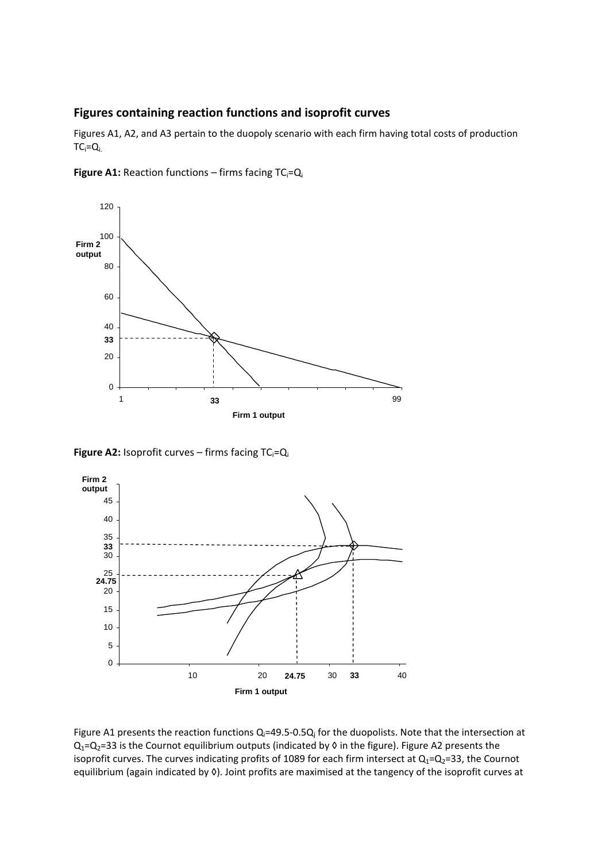#### **Figures containing reaction functions and isoprofit curves**

Figures A1, A2, and A3 pertain to the duopoly scenario with each firm having total costs of production  $TC_i = Q_i$ 



**Figure A1:** Reaction functions – firms facing TC<sub>i</sub>=Q<sub>i</sub>

**Figure A2:** Isoprofit curves – firms facing TC<sub>i</sub>=Q<sub>i</sub>



Figure A1 presents the reaction functions  $Q_i=49.5-0.5Q_i$  for the duopolists. Note that the intersection at  $Q_1=Q_2=33$  is the Cournot equilibrium outputs (indicated by 0 in the figure). Figure A2 presents the isoprofit curves. The curves indicating profits of 1089 for each firm intersect at  $Q_1 = Q_2 = 33$ , the Cournot equilibrium (again indicated by 0). Joint profits are maximised at the tangency of the isoprofit curves at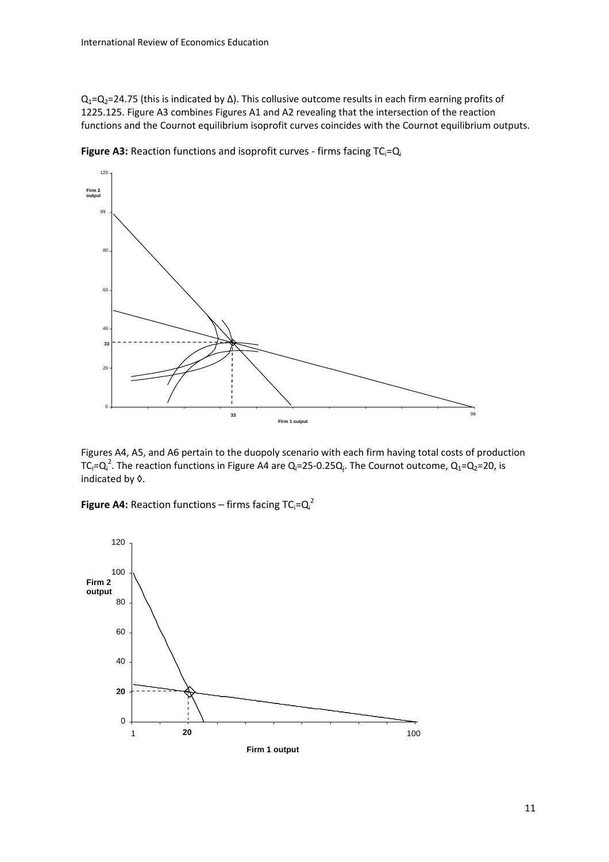Q<sub>1</sub>=Q<sub>2</sub>=24.75 (this is indicated by ∆). This collusive outcome results in each firm earning profits of 1225.125. Figure A3 combines Figures A1 and A2 revealing that the intersection of the reaction functions and the Cournot equilibrium isoprofit curves coincides with the Cournot equilibrium outputs.



**Figure A3:** Reaction functions and isoprofit curves - firms facing TC<sub>i</sub>=Q<sub>i</sub>

Figures A4, A5, and A6 pertain to the duopoly scenario with each firm having total costs of production TC<sub>i</sub>=Q<sub>i</sub><sup>2</sup>. The reaction functions in Figure A4 are Q<sub>i</sub>=25-0.25Q<sub>i</sub>. The Cournot outcome, Q<sub>1</sub>=Q<sub>2</sub>=20, is indicated by ◊.

**Figure A4:** Reaction functions – firms facing  $TC_i = Q_i^2$ 

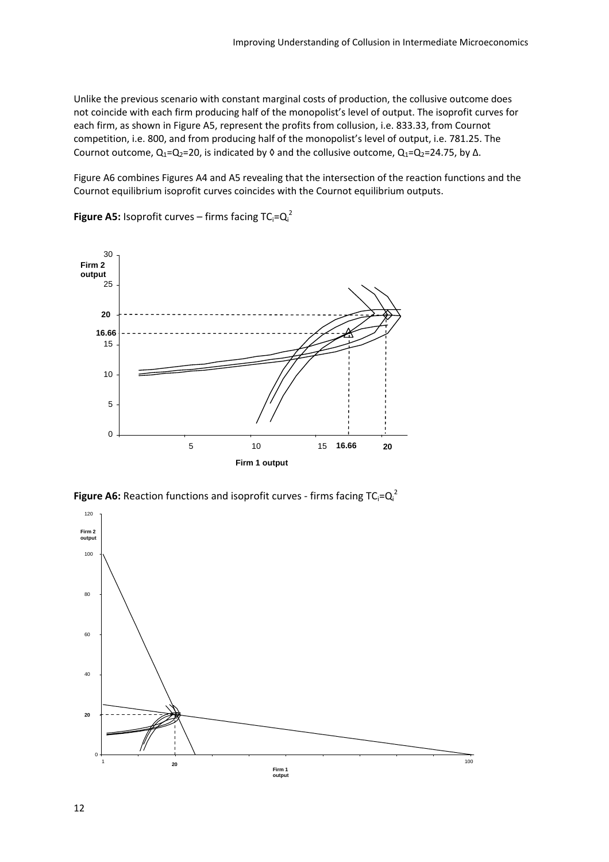Unlike the previous scenario with constant marginal costs of production, the collusive outcome does not coincide with each firm producing half of the monopolist's level of output. The isoprofit curves for each firm, as shown in Figure A5, represent the profits from collusion, i.e. 833.33, from Cournot competition, i.e. 800, and from producing half of the monopolist's level of output, i.e. 781.25. The Cournot outcome,  $Q_1=Q_2=20$ , is indicated by  $\Diamond$  and the collusive outcome,  $Q_1=Q_2=24.75$ , by  $\triangle$ .

Figure A6 combines Figures A4 and A5 revealing that the intersection of the reaction functions and the Cournot equilibrium isoprofit curves coincides with the Cournot equilibrium outputs.



**Figure A5:** Isoprofit curves – firms facing  $TC_i = Q_i^2$ 

**Figure A6:** Reaction functions and isoprofit curves - firms facing  $TC_i = Q_i^2$